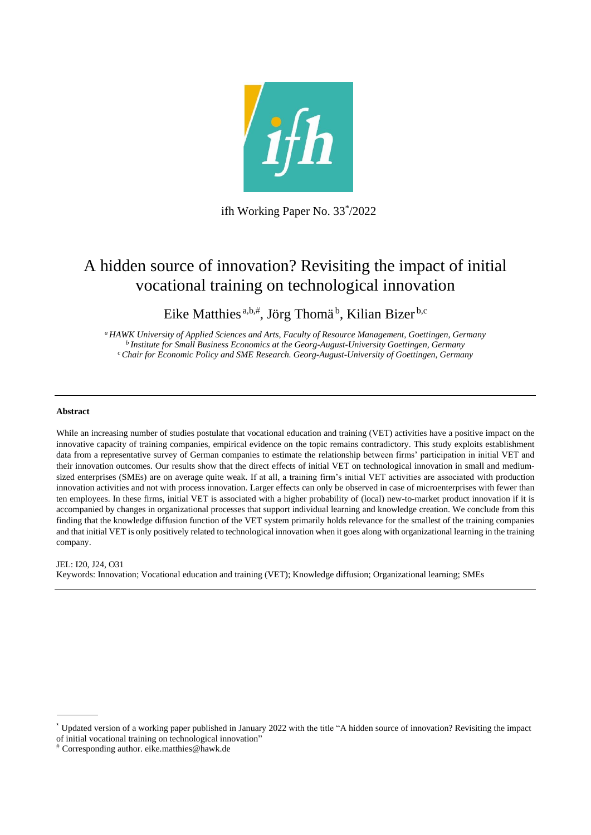

ifh Working Paper No. 33\* /2022

# A hidden source of innovation? Revisiting the impact of initial vocational training on technological innovation

Eike Matthies<sup>a,b,#</sup>, Jörg Thomä<sup>b</sup>, Kilian Bizer<sup>b,c</sup>

*<sup>a</sup>HAWK University of Applied Sciences and Arts, Faculty of Resource Management, Goettingen, Germany <sup>b</sup>Institute for Small Business Economics at the Georg-August-University Goettingen, Germany <sup>c</sup>Chair for Economic Policy and SME Research. Georg-August-University of Goettingen, Germany*

#### **Abstract**

While an increasing number of studies postulate that vocational education and training (VET) activities have a positive impact on the innovative capacity of training companies, empirical evidence on the topic remains contradictory. This study exploits establishment data from a representative survey of German companies to estimate the relationship between firms' participation in initial VET and their innovation outcomes. Our results show that the direct effects of initial VET on technological innovation in small and mediumsized enterprises (SMEs) are on average quite weak. If at all, a training firm's initial VET activities are associated with production innovation activities and not with process innovation. Larger effects can only be observed in case of microenterprises with fewer than ten employees. In these firms, initial VET is associated with a higher probability of (local) new-to-market product innovation if it is accompanied by changes in organizational processes that support individual learning and knowledge creation. We conclude from this finding that the knowledge diffusion function of the VET system primarily holds relevance for the smallest of the training companies and that initial VET is only positively related to technological innovation when it goes along with organizational learning in the training company.

#### JEL: I20, J24, O31

Keywords: Innovation; Vocational education and training (VET); Knowledge diffusion; Organizational learning; SMEs

<sup>\*</sup> Updated version of a working paper published in January 2022 with the title "A hidden source of innovation? Revisiting the impact of initial vocational training on technological innovation"

Corresponding author. eike.matthies@hawk.de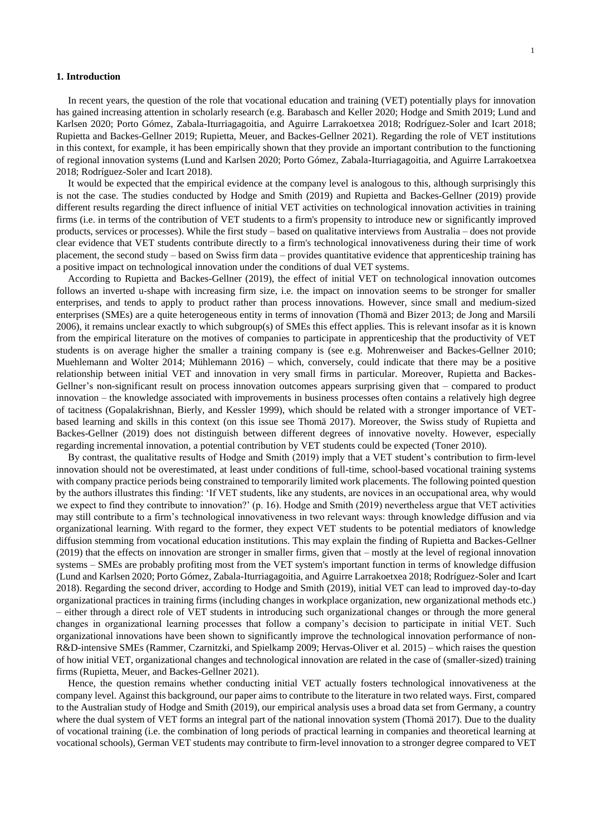#### **1. Introduction**

In recent years, the question of the role that vocational education and training (VET) potentially plays for innovation has gained increasing attention in scholarly research (e.g. Barabasch and Keller 2020; Hodge and Smith 2019; Lund and Karlsen 2020; Porto Gómez, Zabala-Iturriagagoitia, and Aguirre Larrakoetxea 2018; Rodríguez-Soler and Icart 2018; Rupietta and Backes-Gellner 2019; Rupietta, Meuer, and Backes-Gellner 2021). Regarding the role of VET institutions in this context, for example, it has been empirically shown that they provide an important contribution to the functioning of regional innovation systems (Lund and Karlsen 2020; Porto Gómez, Zabala-Iturriagagoitia, and Aguirre Larrakoetxea 2018; Rodríguez-Soler and Icart 2018).

It would be expected that the empirical evidence at the company level is analogous to this, although surprisingly this is not the case. The studies conducted by Hodge and Smith (2019) and Rupietta and Backes-Gellner (2019) provide different results regarding the direct influence of initial VET activities on technological innovation activities in training firms (i.e. in terms of the contribution of VET students to a firm's propensity to introduce new or significantly improved products, services or processes). While the first study – based on qualitative interviews from Australia – does not provide clear evidence that VET students contribute directly to a firm's technological innovativeness during their time of work placement, the second study – based on Swiss firm data – provides quantitative evidence that apprenticeship training has a positive impact on technological innovation under the conditions of dual VET systems.

According to Rupietta and Backes-Gellner (2019), the effect of initial VET on technological innovation outcomes follows an inverted u-shape with increasing firm size, i.e. the impact on innovation seems to be stronger for smaller enterprises, and tends to apply to product rather than process innovations. However, since small and medium-sized enterprises (SMEs) are a quite heterogeneous entity in terms of innovation (Thomä and Bizer 2013; de Jong and Marsili 2006), it remains unclear exactly to which subgroup(s) of SMEs this effect applies. This is relevant insofar as it is known from the empirical literature on the motives of companies to participate in apprenticeship that the productivity of VET students is on average higher the smaller a training company is (see e.g. Mohrenweiser and Backes-Gellner 2010; Muehlemann and Wolter 2014; Mühlemann 2016) – which, conversely, could indicate that there may be a positive relationship between initial VET and innovation in very small firms in particular. Moreover, Rupietta and Backes-Gellner's non-significant result on process innovation outcomes appears surprising given that – compared to product innovation – the knowledge associated with improvements in business processes often contains a relatively high degree of tacitness (Gopalakrishnan, Bierly, and Kessler 1999), which should be related with a stronger importance of VETbased learning and skills in this context (on this issue see Thomä 2017). Moreover, the Swiss study of Rupietta and Backes-Gellner (2019) does not distinguish between different degrees of innovative novelty. However, especially regarding incremental innovation, a potential contribution by VET students could be expected (Toner 2010).

By contrast, the qualitative results of Hodge and Smith (2019) imply that a VET student's contribution to firm-level innovation should not be overestimated, at least under conditions of full-time, school-based vocational training systems with company practice periods being constrained to temporarily limited work placements. The following pointed question by the authors illustrates this finding: 'If VET students, like any students, are novices in an occupational area, why would we expect to find they contribute to innovation?' (p. 16). Hodge and Smith (2019) nevertheless argue that VET activities may still contribute to a firm's technological innovativeness in two relevant ways: through knowledge diffusion and via organizational learning. With regard to the former, they expect VET students to be potential mediators of knowledge diffusion stemming from vocational education institutions. This may explain the finding of Rupietta and Backes-Gellner (2019) that the effects on innovation are stronger in smaller firms, given that – mostly at the level of regional innovation systems – SMEs are probably profiting most from the VET system's important function in terms of knowledge diffusion (Lund and Karlsen 2020; Porto Gómez, Zabala-Iturriagagoitia, and Aguirre Larrakoetxea 2018; Rodríguez-Soler and Icart 2018). Regarding the second driver, according to Hodge and Smith (2019), initial VET can lead to improved day-to-day organizational practices in training firms (including changes in workplace organization, new organizational methods etc.) – either through a direct role of VET students in introducing such organizational changes or through the more general changes in organizational learning processes that follow a company's decision to participate in initial VET. Such organizational innovations have been shown to significantly improve the technological innovation performance of non-R&D-intensive SMEs (Rammer, Czarnitzki, and Spielkamp 2009; Hervas-Oliver et al. 2015) – which raises the question of how initial VET, organizational changes and technological innovation are related in the case of (smaller-sized) training firms (Rupietta, Meuer, and Backes-Gellner 2021).

Hence, the question remains whether conducting initial VET actually fosters technological innovativeness at the company level. Against this background, our paper aims to contribute to the literature in two related ways. First, compared to the Australian study of Hodge and Smith (2019), our empirical analysis uses a broad data set from Germany, a country where the dual system of VET forms an integral part of the national innovation system (Thomä 2017). Due to the duality of vocational training (i.e. the combination of long periods of practical learning in companies and theoretical learning at vocational schools), German VET students may contribute to firm-level innovation to a stronger degree compared to VET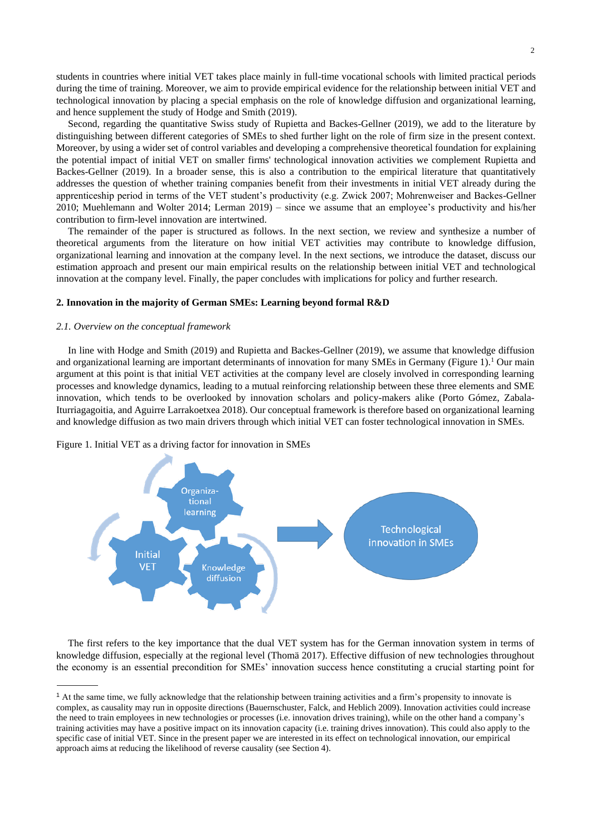students in countries where initial VET takes place mainly in full-time vocational schools with limited practical periods during the time of training. Moreover, we aim to provide empirical evidence for the relationship between initial VET and technological innovation by placing a special emphasis on the role of knowledge diffusion and organizational learning, and hence supplement the study of Hodge and Smith (2019).

Second, regarding the quantitative Swiss study of Rupietta and Backes-Gellner (2019), we add to the literature by distinguishing between different categories of SMEs to shed further light on the role of firm size in the present context. Moreover, by using a wider set of control variables and developing a comprehensive theoretical foundation for explaining the potential impact of initial VET on smaller firms' technological innovation activities we complement Rupietta and Backes-Gellner (2019). In a broader sense, this is also a contribution to the empirical literature that quantitatively addresses the question of whether training companies benefit from their investments in initial VET already during the apprenticeship period in terms of the VET student's productivity (e.g. Zwick 2007; Mohrenweiser and Backes-Gellner 2010; Muehlemann and Wolter 2014; Lerman 2019) – since we assume that an employee's productivity and his/her contribution to firm-level innovation are intertwined.

The remainder of the paper is structured as follows. In the next section, we review and synthesize a number of theoretical arguments from the literature on how initial VET activities may contribute to knowledge diffusion, organizational learning and innovation at the company level. In the next sections, we introduce the dataset, discuss our estimation approach and present our main empirical results on the relationship between initial VET and technological innovation at the company level. Finally, the paper concludes with implications for policy and further research.

#### **2. Innovation in the majority of German SMEs: Learning beyond formal R&D**

#### *2.1. Overview on the conceptual framework*

In line with Hodge and Smith (2019) and Rupietta and Backes-Gellner (2019), we assume that knowledge diffusion and organizational learning are important determinants of innovation for many SMEs in Germany (Figure 1).<sup>1</sup> Our main argument at this point is that initial VET activities at the company level are closely involved in corresponding learning processes and knowledge dynamics, leading to a mutual reinforcing relationship between these three elements and SME innovation, which tends to be overlooked by innovation scholars and policy-makers alike (Porto Gómez, Zabala-Iturriagagoitia, and Aguirre Larrakoetxea 2018). Our conceptual framework is therefore based on organizational learning and knowledge diffusion as two main drivers through which initial VET can foster technological innovation in SMEs.



Figure 1. Initial VET as a driving factor for innovation in SMEs

The first refers to the key importance that the dual VET system has for the German innovation system in terms of knowledge diffusion, especially at the regional level (Thomä 2017). Effective diffusion of new technologies throughout the economy is an essential precondition for SMEs' innovation success hence constituting a crucial starting point for

<sup>1</sup> At the same time, we fully acknowledge that the relationship between training activities and a firm's propensity to innovate is complex, as causality may run in opposite directions (Bauernschuster, Falck, and Heblich 2009). Innovation activities could increase the need to train employees in new technologies or processes (i.e. innovation drives training), while on the other hand a company's training activities may have a positive impact on its innovation capacity (i.e. training drives innovation). This could also apply to the specific case of initial VET. Since in the present paper we are interested in its effect on technological innovation, our empirical approach aims at reducing the likelihood of reverse causality (see Section 4).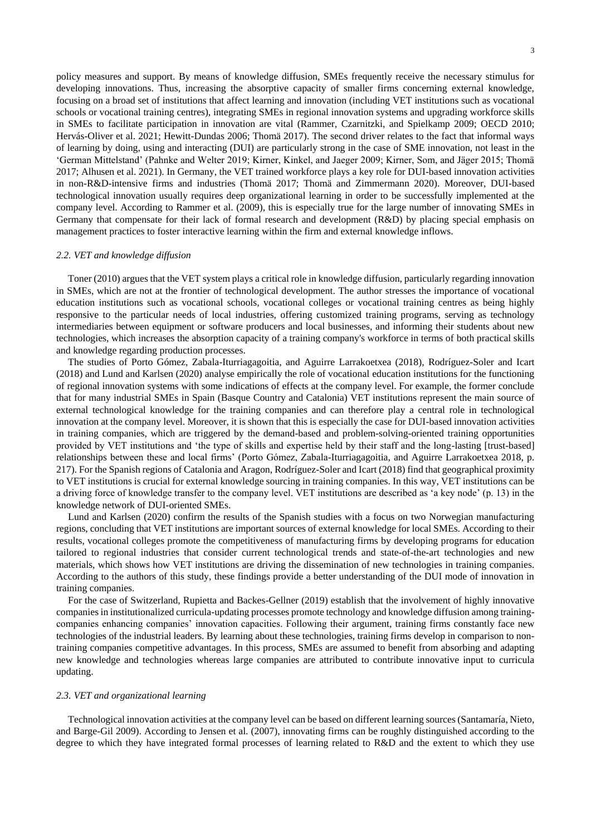policy measures and support. By means of knowledge diffusion, SMEs frequently receive the necessary stimulus for developing innovations. Thus, increasing the absorptive capacity of smaller firms concerning external knowledge, focusing on a broad set of institutions that affect learning and innovation (including VET institutions such as vocational schools or vocational training centres), integrating SMEs in regional innovation systems and upgrading workforce skills in SMEs to facilitate participation in innovation are vital (Rammer, Czarnitzki, and Spielkamp 2009; OECD 2010; Hervás-Oliver et al. 2021; Hewitt-Dundas 2006; Thomä 2017). The second driver relates to the fact that informal ways of learning by doing, using and interacting (DUI) are particularly strong in the case of SME innovation, not least in the 'German Mittelstand' (Pahnke and Welter 2019; Kirner, Kinkel, and Jaeger 2009; Kirner, Som, and Jäger 2015; Thomä 2017; Alhusen et al. 2021). In Germany, the VET trained workforce plays a key role for DUI-based innovation activities in non-R&D-intensive firms and industries (Thomä 2017; Thomä and Zimmermann 2020). Moreover, DUI-based technological innovation usually requires deep organizational learning in order to be successfully implemented at the company level. According to Rammer et al. (2009), this is especially true for the large number of innovating SMEs in Germany that compensate for their lack of formal research and development (R&D) by placing special emphasis on management practices to foster interactive learning within the firm and external knowledge inflows.

#### *2.2. VET and knowledge diffusion*

Toner (2010) argues that the VET system plays a critical role in knowledge diffusion, particularly regarding innovation in SMEs, which are not at the frontier of technological development. The author stresses the importance of vocational education institutions such as vocational schools, vocational colleges or vocational training centres as being highly responsive to the particular needs of local industries, offering customized training programs, serving as technology intermediaries between equipment or software producers and local businesses, and informing their students about new technologies, which increases the absorption capacity of a training company's workforce in terms of both practical skills and knowledge regarding production processes.

The studies of Porto Gómez, Zabala-Iturriagagoitia, and Aguirre Larrakoetxea (2018), Rodríguez-Soler and Icart (2018) and Lund and Karlsen (2020) analyse empirically the role of vocational education institutions for the functioning of regional innovation systems with some indications of effects at the company level. For example, the former conclude that for many industrial SMEs in Spain (Basque Country and Catalonia) VET institutions represent the main source of external technological knowledge for the training companies and can therefore play a central role in technological innovation at the company level. Moreover, it is shown that this is especially the case for DUI-based innovation activities in training companies, which are triggered by the demand-based and problem-solving-oriented training opportunities provided by VET institutions and 'the type of skills and expertise held by their staff and the long-lasting [trust-based] relationships between these and local firms' (Porto Gómez, Zabala-Iturriagagoitia, and Aguirre Larrakoetxea 2018, p. 217). For the Spanish regions of Catalonia and Aragon, Rodríguez-Soler and Icart (2018) find that geographical proximity to VET institutions is crucial for external knowledge sourcing in training companies. In this way, VET institutions can be a driving force of knowledge transfer to the company level. VET institutions are described as 'a key node' (p. 13) in the knowledge network of DUI-oriented SMEs.

Lund and Karlsen (2020) confirm the results of the Spanish studies with a focus on two Norwegian manufacturing regions, concluding that VET institutions are important sources of external knowledge for local SMEs. According to their results, vocational colleges promote the competitiveness of manufacturing firms by developing programs for education tailored to regional industries that consider current technological trends and state-of-the-art technologies and new materials, which shows how VET institutions are driving the dissemination of new technologies in training companies. According to the authors of this study, these findings provide a better understanding of the DUI mode of innovation in training companies.

For the case of Switzerland, Rupietta and Backes-Gellner (2019) establish that the involvement of highly innovative companies in institutionalized curricula-updating processes promote technology and knowledge diffusion among trainingcompanies enhancing companies' innovation capacities. Following their argument, training firms constantly face new technologies of the industrial leaders. By learning about these technologies, training firms develop in comparison to nontraining companies competitive advantages. In this process, SMEs are assumed to benefit from absorbing and adapting new knowledge and technologies whereas large companies are attributed to contribute innovative input to curricula updating.

#### *2.3. VET and organizational learning*

Technological innovation activities at the company level can be based on different learning sources (Santamaría, Nieto, and Barge-Gil 2009). According to Jensen et al. (2007), innovating firms can be roughly distinguished according to the degree to which they have integrated formal processes of learning related to R&D and the extent to which they use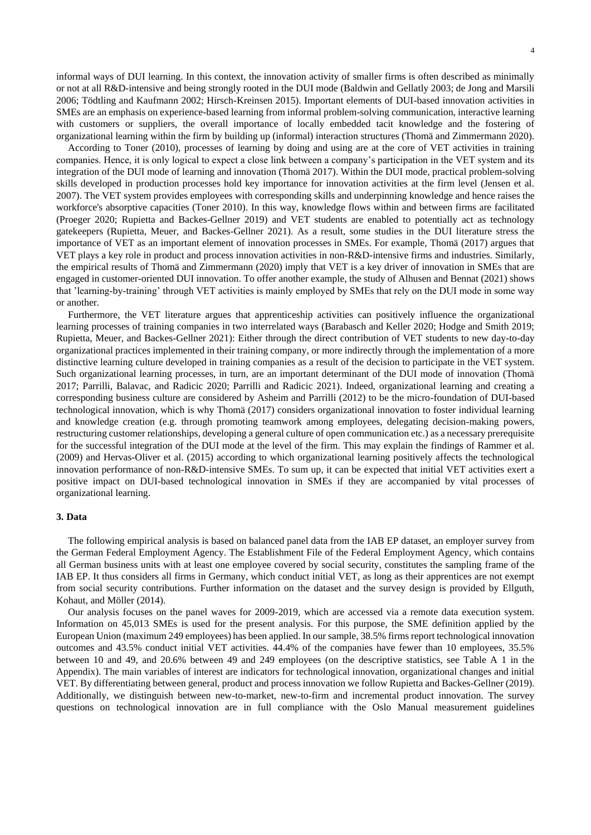informal ways of DUI learning. In this context, the innovation activity of smaller firms is often described as minimally or not at all R&D-intensive and being strongly rooted in the DUI mode (Baldwin and Gellatly 2003; de Jong and Marsili 2006; Tödtling and Kaufmann 2002; Hirsch-Kreinsen 2015). Important elements of DUI-based innovation activities in SMEs are an emphasis on experience-based learning from informal problem-solving communication, interactive learning with customers or suppliers, the overall importance of locally embedded tacit knowledge and the fostering of organizational learning within the firm by building up (informal) interaction structures (Thomä and Zimmermann 2020).

According to Toner (2010), processes of learning by doing and using are at the core of VET activities in training companies. Hence, it is only logical to expect a close link between a company's participation in the VET system and its integration of the DUI mode of learning and innovation (Thomä 2017). Within the DUI mode, practical problem-solving skills developed in production processes hold key importance for innovation activities at the firm level (Jensen et al. 2007). The VET system provides employees with corresponding skills and underpinning knowledge and hence raises the workforce's absorptive capacities (Toner 2010). In this way, knowledge flows within and between firms are facilitated (Proeger 2020; Rupietta and Backes-Gellner 2019) and VET students are enabled to potentially act as technology gatekeepers (Rupietta, Meuer, and Backes-Gellner 2021). As a result, some studies in the DUI literature stress the importance of VET as an important element of innovation processes in SMEs. For example, Thomä (2017) argues that VET plays a key role in product and process innovation activities in non-R&D-intensive firms and industries. Similarly, the empirical results of Thomä and Zimmermann (2020) imply that VET is a key driver of innovation in SMEs that are engaged in customer-oriented DUI innovation. To offer another example, the study of Alhusen and Bennat (2021) shows that 'learning-by-training' through VET activities is mainly employed by SMEs that rely on the DUI mode in some way or another.

Furthermore, the VET literature argues that apprenticeship activities can positively influence the organizational learning processes of training companies in two interrelated ways (Barabasch and Keller 2020; Hodge and Smith 2019; Rupietta, Meuer, and Backes-Gellner 2021): Either through the direct contribution of VET students to new day-to-day organizational practices implemented in their training company, or more indirectly through the implementation of a more distinctive learning culture developed in training companies as a result of the decision to participate in the VET system. Such organizational learning processes, in turn, are an important determinant of the DUI mode of innovation (Thomä 2017; Parrilli, Balavac, and Radicic 2020; Parrilli and Radicic 2021). Indeed, organizational learning and creating a corresponding business culture are considered by Asheim and Parrilli (2012) to be the micro-foundation of DUI-based technological innovation, which is why Thomä (2017) considers organizational innovation to foster individual learning and knowledge creation (e.g. through promoting teamwork among employees, delegating decision-making powers, restructuring customer relationships, developing a general culture of open communication etc.) as a necessary prerequisite for the successful integration of the DUI mode at the level of the firm. This may explain the findings of Rammer et al. (2009) and Hervas-Oliver et al. (2015) according to which organizational learning positively affects the technological innovation performance of non-R&D-intensive SMEs. To sum up, it can be expected that initial VET activities exert a positive impact on DUI-based technological innovation in SMEs if they are accompanied by vital processes of organizational learning.

#### **3. Data**

The following empirical analysis is based on balanced panel data from the IAB EP dataset, an employer survey from the German Federal Employment Agency. The Establishment File of the Federal Employment Agency, which contains all German business units with at least one employee covered by social security, constitutes the sampling frame of the IAB EP. It thus considers all firms in Germany, which conduct initial VET, as long as their apprentices are not exempt from social security contributions. Further information on the dataset and the survey design is provided by Ellguth, Kohaut, and Möller (2014).

Our analysis focuses on the panel waves for 2009-2019, which are accessed via a remote data execution system. Information on 45,013 SMEs is used for the present analysis. For this purpose, the SME definition applied by the European Union (maximum 249 employees) has been applied. In our sample, 38.5% firms report technological innovation outcomes and 43.5% conduct initial VET activities. 44.4% of the companies have fewer than 10 employees, 35.5% between 10 and 49, and 20.6% between 49 and 249 employees (on the descriptive statistics, see Table A 1 in the Appendix). The main variables of interest are indicators for technological innovation, organizational changes and initial VET. By differentiating between general, product and process innovation we follow Rupietta and Backes-Gellner (2019). Additionally, we distinguish between new-to-market, new-to-firm and incremental product innovation. The survey questions on technological innovation are in full compliance with the Oslo Manual measurement guidelines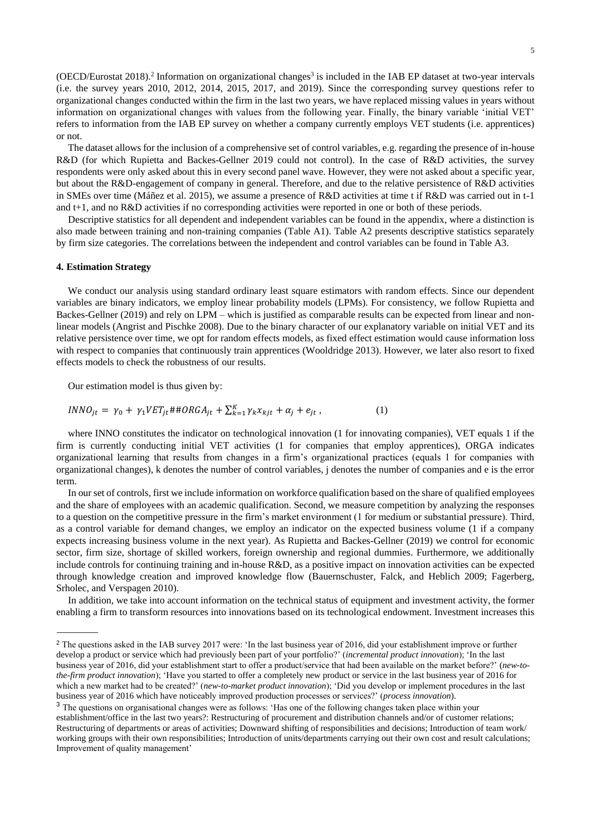(OECD/Eurostat 2018).<sup>2</sup> Information on organizational changes<sup>3</sup> is included in the IAB EP dataset at two-year intervals (i.e. the survey years 2010, 2012, 2014, 2015, 2017, and 2019). Since the corresponding survey questions refer to organizational changes conducted within the firm in the last two years, we have replaced missing values in years without information on organizational changes with values from the following year. Finally, the binary variable 'initial VET' refers to information from the IAB EP survey on whether a company currently employs VET students (i.e. apprentices) or not.

The dataset allows for the inclusion of a comprehensive set of control variables, e.g. regarding the presence of in-house R&D (for which Rupietta and Backes-Gellner 2019 could not control). In the case of R&D activities, the survey respondents were only asked about this in every second panel wave. However, they were not asked about a specific year, but about the R&D-engagement of company in general. Therefore, and due to the relative persistence of R&D activities in SMEs over time (Máñez et al. 2015), we assume a presence of R&D activities at time t if R&D was carried out in t-1 and t+1, and no R&D activities if no corresponding activities were reported in one or both of these periods.

Descriptive statistics for all dependent and independent variables can be found in the appendix, where a distinction is also made between training and non-training companies (Table A1). Table A2 presents descriptive statistics separately by firm size categories. The correlations between the independent and control variables can be found in Table A3.

#### **4. Estimation Strategy**

We conduct our analysis using standard ordinary least square estimators with random effects. Since our dependent variables are binary indicators, we employ linear probability models (LPMs). For consistency, we follow Rupietta and Backes-Gellner (2019) and rely on LPM – which is justified as comparable results can be expected from linear and nonlinear models (Angrist and Pischke 2008). Due to the binary character of our explanatory variable on initial VET and its relative persistence over time, we opt for random effects models, as fixed effect estimation would cause information loss with respect to companies that continuously train apprentices (Wooldridge 2013). However, we later also resort to fixed effects models to check the robustness of our results.

Our estimation model is thus given by:

$$
INNO_{jt} = \gamma_0 + \gamma_1 VET_{jt} \#HORGA_{jt} + \sum_{k=1}^{K} \gamma_k x_{kjt} + \alpha_j + e_{jt}, \qquad (1)
$$

where INNO constitutes the indicator on technological innovation (1 for innovating companies), VET equals 1 if the firm is currently conducting initial VET activities (1 for companies that employ apprentices), ORGA indicates organizational learning that results from changes in a firm's organizational practices (equals 1 for companies with organizational changes), k denotes the number of control variables, j denotes the number of companies and e is the error term.

In our set of controls, first we include information on workforce qualification based on the share of qualified employees and the share of employees with an academic qualification. Second, we measure competition by analyzing the responses to a question on the competitive pressure in the firm's market environment (1 for medium or substantial pressure). Third, as a control variable for demand changes, we employ an indicator on the expected business volume (1 if a company expects increasing business volume in the next year). As Rupietta and Backes-Gellner (2019) we control for economic sector, firm size, shortage of skilled workers, foreign ownership and regional dummies. Furthermore, we additionally include controls for continuing training and in-house R&D, as a positive impact on innovation activities can be expected through knowledge creation and improved knowledge flow (Bauernschuster, Falck, and Heblich 2009; Fagerberg, Srholec, and Verspagen 2010).

In addition, we take into account information on the technical status of equipment and investment activity, the former enabling a firm to transform resources into innovations based on its technological endowment. Investment increases this

<sup>&</sup>lt;sup>2</sup> The questions asked in the IAB survey 2017 were: 'In the last business year of 2016, did your establishment improve or further develop a product or service which had previously been part of your portfolio?' (*incremental product innovation*); 'In the last business year of 2016, did your establishment start to offer a product/service that had been available on the market before?' (*new-tothe-firm product innovation*); 'Have you started to offer a completely new product or service in the last business year of 2016 for which a new market had to be created?' (*new-to-market product innovation*); 'Did you develop or implement procedures in the last business year of 2016 which have noticeably improved production processes or services?' (*process innovation*).

<sup>&</sup>lt;sup>3</sup> The questions on organisational changes were as follows: 'Has one of the following changes taken place within your establishment/office in the last two years?: Restructuring of procurement and distribution channels and/or of customer relations; Restructuring of departments or areas of activities; Downward shifting of responsibilities and decisions; Introduction of team work/ working groups with their own responsibilities; Introduction of units/departments carrying out their own cost and result calculations; Improvement of quality management'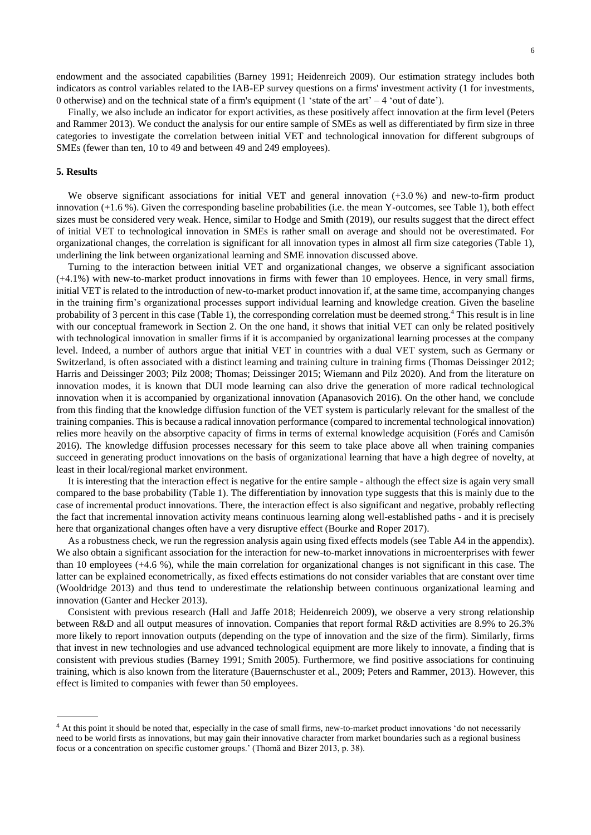endowment and the associated capabilities (Barney 1991; Heidenreich 2009). Our estimation strategy includes both indicators as control variables related to the IAB-EP survey questions on a firms' investment activity (1 for investments, 0 otherwise) and on the technical state of a firm's equipment (1 'state of the art'  $-4$  'out of date').

Finally, we also include an indicator for export activities, as these positively affect innovation at the firm level (Peters and Rammer 2013). We conduct the analysis for our entire sample of SMEs as well as differentiated by firm size in three categories to investigate the correlation between initial VET and technological innovation for different subgroups of SMEs (fewer than ten, 10 to 49 and between 49 and 249 employees).

#### **5. Results**

We observe significant associations for initial VET and general innovation  $(+3.0\%)$  and new-to-firm product innovation (+1.6 %). Given the corresponding baseline probabilities (i.e. the mean Y-outcomes, see Table 1), both effect sizes must be considered very weak. Hence, similar to Hodge and Smith (2019), our results suggest that the direct effect of initial VET to technological innovation in SMEs is rather small on average and should not be overestimated. For organizational changes, the correlation is significant for all innovation types in almost all firm size categories (Table 1), underlining the link between organizational learning and SME innovation discussed above.

Turning to the interaction between initial VET and organizational changes, we observe a significant association (+4.1%) with new-to-market product innovations in firms with fewer than 10 employees. Hence, in very small firms, initial VET is related to the introduction of new-to-market product innovation if, at the same time, accompanying changes in the training firm's organizational processes support individual learning and knowledge creation. Given the baseline probability of 3 percent in this case (Table 1), the corresponding correlation must be deemed strong.<sup>4</sup> This result is in line with our conceptual framework in Section 2. On the one hand, it shows that initial VET can only be related positively with technological innovation in smaller firms if it is accompanied by organizational learning processes at the company level. Indeed, a number of authors argue that initial VET in countries with a dual VET system, such as Germany or Switzerland, is often associated with a distinct learning and training culture in training firms (Thomas Deissinger 2012; Harris and Deissinger 2003; Pilz 2008; Thomas; Deissinger 2015; Wiemann and Pilz 2020). And from the literature on innovation modes, it is known that DUI mode learning can also drive the generation of more radical technological innovation when it is accompanied by organizational innovation (Apanasovich 2016). On the other hand, we conclude from this finding that the knowledge diffusion function of the VET system is particularly relevant for the smallest of the training companies. This is because a radical innovation performance (compared to incremental technological innovation) relies more heavily on the absorptive capacity of firms in terms of external knowledge acquisition (Forés and Camisón 2016). The knowledge diffusion processes necessary for this seem to take place above all when training companies succeed in generating product innovations on the basis of organizational learning that have a high degree of novelty, at least in their local/regional market environment.

It is interesting that the interaction effect is negative for the entire sample - although the effect size is again very small compared to the base probability (Table 1). The differentiation by innovation type suggests that this is mainly due to the case of incremental product innovations. There, the interaction effect is also significant and negative, probably reflecting the fact that incremental innovation activity means continuous learning along well-established paths - and it is precisely here that organizational changes often have a very disruptive effect (Bourke and Roper 2017).

As a robustness check, we run the regression analysis again using fixed effects models (see Table A4 in the appendix). We also obtain a significant association for the interaction for new-to-market innovations in microenterprises with fewer than 10 employees (+4.6 %), while the main correlation for organizational changes is not significant in this case. The latter can be explained econometrically, as fixed effects estimations do not consider variables that are constant over time (Wooldridge 2013) and thus tend to underestimate the relationship between continuous organizational learning and innovation (Ganter and Hecker 2013).

Consistent with previous research (Hall and Jaffe 2018; Heidenreich 2009), we observe a very strong relationship between R&D and all output measures of innovation. Companies that report formal R&D activities are 8.9% to 26.3% more likely to report innovation outputs (depending on the type of innovation and the size of the firm). Similarly, firms that invest in new technologies and use advanced technological equipment are more likely to innovate, a finding that is consistent with previous studies (Barney 1991; Smith 2005). Furthermore, we find positive associations for continuing training, which is also known from the literature (Bauernschuster et al., 2009; Peters and Rammer, 2013). However, this effect is limited to companies with fewer than 50 employees.

<sup>4</sup> At this point it should be noted that, especially in the case of small firms, new-to-market product innovations 'do not necessarily need to be world firsts as innovations, but may gain their innovative character from market boundaries such as a regional business focus or a concentration on specific customer groups.' (Thomä and Bizer 2013, p. 38).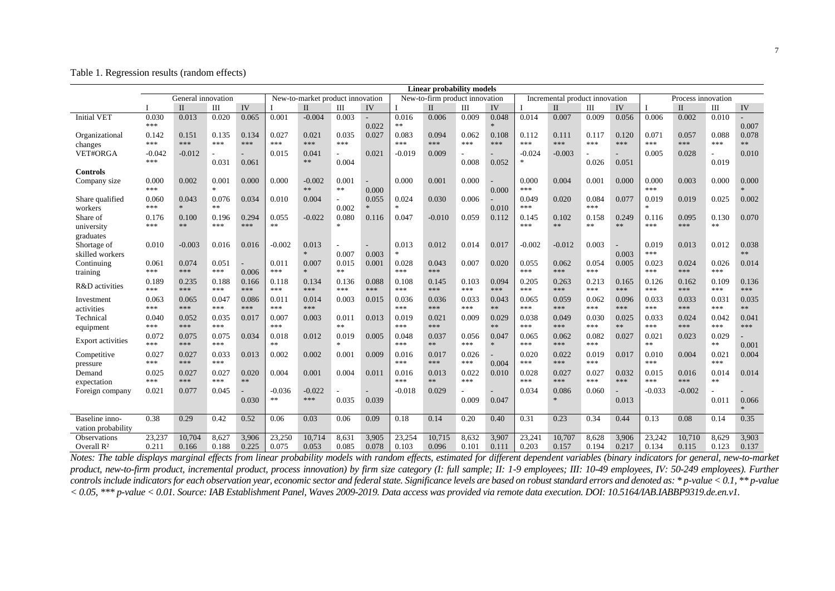Table 1. Regression results (random effects)

|                                             | <b>Linear probability models</b><br>General innovation<br>New-to-market product innovation<br>New-to-firm product innovation<br>Incremental product innovation |                 |                         |                |                 |                 |                |                |                 |                 |                |                          |                 |                 |                |                    |                 |                 |                |                |
|---------------------------------------------|----------------------------------------------------------------------------------------------------------------------------------------------------------------|-----------------|-------------------------|----------------|-----------------|-----------------|----------------|----------------|-----------------|-----------------|----------------|--------------------------|-----------------|-----------------|----------------|--------------------|-----------------|-----------------|----------------|----------------|
|                                             |                                                                                                                                                                |                 |                         |                |                 |                 |                |                |                 |                 |                |                          |                 |                 |                | Process innovation |                 |                 |                |                |
|                                             |                                                                                                                                                                | $\Pi$           | Ш                       | IV             |                 | $\mathbf{I}$    | Ш              | IV             |                 | $_{II}$         | Ш              | IV                       |                 | $\mathbf{I}$    | Ш              | IV                 |                 | $\mathbf{I}$    | Ш              | IV             |
| <b>Initial VET</b>                          | 0.030<br>***                                                                                                                                                   | 0.013           | 0.020                   | 0.065          | 0.001           | $-0.004$        | 0.003          | 0.022          | 0.016<br>**     | 0.006           | 0.009          | 0.048<br>$\ast$          | 0.014           | 0.007           | 0.009          | 0.056              | 0.006           | 0.002           | 0.010          | 0.007          |
| Organizational                              | 0.142                                                                                                                                                          | 0.151           | 0.135                   | 0.134          | 0.027           | 0.021           | 0.035          | 0.027          | 0.083           | 0.094           | 0.062          | 0.108                    | 0.112           | 0.111           | 0.117          | 0.120              | 0.071           | 0.057           | 0.088          | 0.078          |
| changes                                     | ***                                                                                                                                                            | $* * *$         | ***                     | ***            | ***             | ***             | ***            |                | ***             | ***             | ***            | $***$                    | ***             | ***             | ***            | ***                | ***             | ***             | ***            | $**$           |
| VET#ORGA                                    | $-0.042$<br>***                                                                                                                                                | $-0.012$        | 0.031                   | 0.061          | 0.015           | 0.041<br>**     | 0.004          | 0.021          | $-0.019$        | 0.009           | 0.008          | 0.052                    | $-0.024$        | $-0.003$        | 0.026          | 0.051              | 0.005           | 0.028           | 0.019          | 0.010          |
| Controls                                    |                                                                                                                                                                |                 |                         |                |                 |                 |                |                |                 |                 |                |                          |                 |                 |                |                    |                 |                 |                |                |
| Company size                                | 0.000<br>***                                                                                                                                                   | 0.002           | 0.001<br>$\mathbf{g}_i$ | 0.000          | 0.000           | $-0.002$<br>**  | 0.001<br>$**$  | 0.000          | 0.000           | 0.001           | 0.000          | 0.000                    | 0.000<br>***    | 0.004           | 0.001          | 0.000              | 0.000<br>***    | 0.003           | 0.000          | 0.000          |
| Share qualified<br>workers                  | 0.060<br>***                                                                                                                                                   | 0.043           | 0.076<br>**             | 0.034          | 0.010           | 0.004           | 0.002          | 0.055          | 0.024<br>$\ast$ | 0.030           | 0.006          | 0.010                    | 0.049<br>***    | 0.020           | 0.084<br>***   | 0.077              | 0.019<br>$*$    | 0.019           | 0.025          | 0.002          |
| Share of<br>university                      | 0.176<br>***                                                                                                                                                   | 0.100<br>**     | 0.196<br>***            | 0.294<br>***   | 0.055<br>**     | $-0.022$        | 0.080<br>×.    | 0.116          | 0.047           | $-0.010$        | 0.059          | 0.112                    | 0.145<br>***    | 0.102<br>$**$   | 0.158<br>**    | 0.249<br>**        | 0.116<br>***    | 0.095<br>***    | 0.130<br>**    | 0.070          |
| graduates<br>Shortage of<br>skilled workers | 0.010                                                                                                                                                          | $-0.003$        | 0.016                   | 0.016          | $-0.002$        | 0.013<br>$\ast$ | 0.007          | 0.003          | 0.013<br>$\ast$ | 0.012           | 0.014          | 0.017                    | $-0.002$        | $-0.012$        | 0.003          | 0.003              | 0.019<br>***    | 0.013           | 0.012          | 0.038<br>**    |
| Continuing<br>training                      | 0.061<br>***                                                                                                                                                   | 0.074<br>***    | 0.051<br>***            | 0.006          | 0.011<br>***    | 0.007<br>$\ast$ | 0.015<br>**    | 0.001          | 0.028<br>***    | 0.043<br>***    | 0.007          | 0.020                    | 0.055<br>***    | 0.062<br>***    | 0.054<br>***   | 0.005              | 0.023<br>***    | 0.024<br>***    | 0.026<br>***   | 0.014          |
| R&D activities                              | 0.189<br>***                                                                                                                                                   | 0.235<br>***    | 0.188<br>***            | 0.166<br>***   | 0.118<br>***    | 0.134<br>***    | 0.136<br>***   | 0.088<br>***   | 0.108<br>***    | 0.145<br>***    | 0.103<br>***   | 0.094<br>***             | 0.205<br>$***$  | 0.263<br>***    | 0.213<br>***   | 0.165<br>***       | 0.126<br>***    | 0.162<br>***    | 0.109<br>***   | 0.136<br>***   |
| Investment<br>activities                    | 0.063<br>***                                                                                                                                                   | 0.065<br>***    | 0.047<br>***            | 0.086<br>***   | 0.011<br>***    | 0.014<br>***    | 0.003          | 0.015          | 0.036<br>***    | 0.036<br>***    | 0.033<br>***   | 0.043<br>**              | 0.065<br>***    | 0.059<br>***    | 0.062<br>***   | 0.096<br>***       | 0.033<br>***    | 0.033<br>***    | 0.031<br>***   | 0.035<br>**    |
| Technical<br>equipment                      | 0.040<br>***                                                                                                                                                   | 0.052<br>***    | 0.035<br>***            | 0.017          | 0.007<br>***    | 0.003           | 0.011<br>**    | 0.013          | 0.019<br>***    | 0.021<br>***    | 0.009          | 0.029<br>$\ast\ast$      | 0.038<br>***    | 0.049<br>***    | 0.030<br>***   | 0.025<br>$**$      | 0.033<br>***    | 0.024<br>***    | 0.042<br>***   | 0.041<br>***   |
| <b>Export activities</b>                    | 0.072<br>***                                                                                                                                                   | 0.075<br>***    | 0.075<br>***            | 0.034          | 0.018<br>**     | 0.012           | 0.019<br>sk.   | 0.005          | 0.048<br>***    | 0.037<br>**     | 0.056<br>***   | 0.047<br>$\frac{1}{200}$ | 0.065<br>***    | 0.062<br>***    | 0.082<br>***   | 0.027              | 0.021<br>**     | 0.023           | 0.029<br>**    | 0.001          |
| Competitive<br>pressure                     | 0.027<br>***                                                                                                                                                   | 0.027<br>***    | 0.033<br>***            | 0.013          | 0.002           | 0.002           | 0.001          | 0.009          | 0.016<br>***    | 0.017<br>***    | 0.026<br>***   | 0.004                    | 0.020<br>***    | 0.022<br>***    | 0.019<br>***   | 0.017              | 0.010<br>***    | 0.004           | 0.021<br>***   | 0.004          |
| Demand<br>expectation                       | 0.025<br>***                                                                                                                                                   | 0.027<br>***    | 0.027<br>***            | 0.020<br>**    | 0.004           | 0.001           | 0.004          | 0.011          | 0.016<br>***    | 0.013<br>$*$    | 0.022<br>***   | 0.010                    | 0.028<br>***    | 0.027<br>***    | 0.027<br>***   | 0.032<br>***       | 0.015<br>***    | 0.016<br>***    | 0.014<br>**    | 0.014          |
| Foreign company                             | 0.021                                                                                                                                                          | 0.077           | 0.045                   |                | $-0.036$        | $-0.022$        |                |                | $-0.018$        | 0.029           |                |                          | 0.034           | 0.086           | 0.060          |                    | $-0.033$        | $-0.002$        |                |                |
|                                             |                                                                                                                                                                |                 |                         | 0.030          | **              | ***             | 0.035          | 0.039          |                 |                 | 0.009          | 0.047                    |                 | $\ast$          |                | 0.013              |                 |                 | 0.011          | 0.066<br>$*$   |
| Baseline inno-<br>vation probabilitv        | 0.38                                                                                                                                                           | 0.29            | 0.42                    | 0.52           | 0.06            | 0.03            | 0.06           | 0.09           | 0.18            | 0.14            | 0.20           | 0.40                     | 0.31            | 0.23            | 0.34           | 0.44               | 0.13            | 0.08            | 0.14           | 0.35           |
| Observations<br>Overall $\mathbb{R}^2$      | 23,237<br>0.211                                                                                                                                                | 10,704<br>0.166 | 8,627<br>0.188          | 3,906<br>0.225 | 23,250<br>0.075 | 10,714<br>0.053 | 8,631<br>0.085 | 3,905<br>0.078 | 23,254<br>0.103 | 10,715<br>0.096 | 8,632<br>0.101 | 3,907<br>0.111           | 23,241<br>0.203 | 10,707<br>0.157 | 8,628<br>0.194 | 3,906<br>0.217     | 23,242<br>0.134 | 10,710<br>0.115 | 8,629<br>0.123 | 3,903<br>0.137 |

7

*Notes: The table displays marginal effects from linear probability models with random effects, estimated for different dependent variables (binary indicators for general, new-to-market*  product, new-to-firm product, incremental product, process innovation) by firm size category (I: full sample; II: 1-9 employees; III: 10-49 employees, IV: 50-249 employees). Further *controls include indicators for each observation year, economic sector and federal state. Significance levels are based on robust standard errors and denoted as: \* p-value < 0.1, \*\* p-value < 0.05, \*\*\* p-value < 0.01. Source: IAB Establishment Panel, Waves 2009-2019. Data access was provided via remote data execution. DOI: 10.5164/IAB.IABBP9319.de.en.v1.*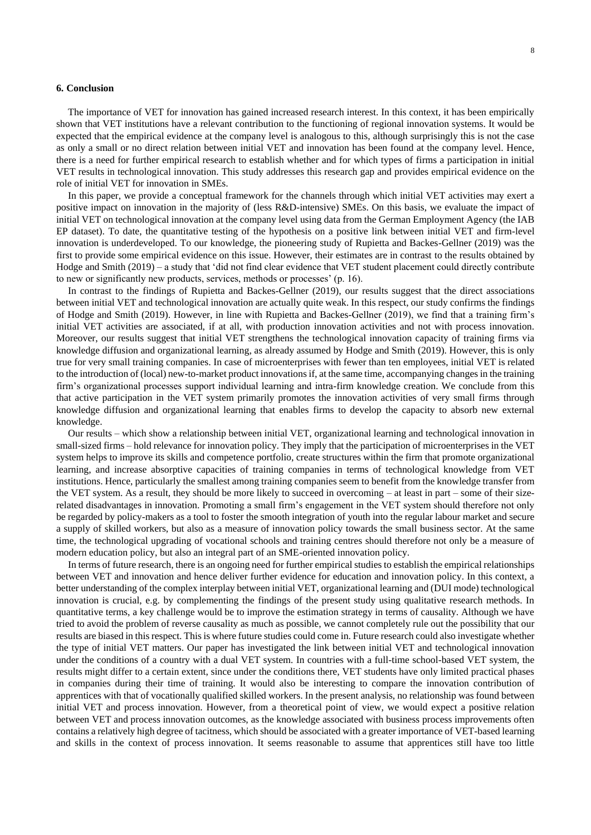#### **6. Conclusion**

The importance of VET for innovation has gained increased research interest. In this context, it has been empirically shown that VET institutions have a relevant contribution to the functioning of regional innovation systems. It would be expected that the empirical evidence at the company level is analogous to this, although surprisingly this is not the case as only a small or no direct relation between initial VET and innovation has been found at the company level. Hence, there is a need for further empirical research to establish whether and for which types of firms a participation in initial VET results in technological innovation. This study addresses this research gap and provides empirical evidence on the role of initial VET for innovation in SMEs.

In this paper, we provide a conceptual framework for the channels through which initial VET activities may exert a positive impact on innovation in the majority of (less R&D-intensive) SMEs. On this basis, we evaluate the impact of initial VET on technological innovation at the company level using data from the German Employment Agency (the IAB EP dataset). To date, the quantitative testing of the hypothesis on a positive link between initial VET and firm-level innovation is underdeveloped. To our knowledge, the pioneering study of Rupietta and Backes-Gellner (2019) was the first to provide some empirical evidence on this issue. However, their estimates are in contrast to the results obtained by Hodge and Smith (2019) – a study that 'did not find clear evidence that VET student placement could directly contribute to new or significantly new products, services, methods or processes' (p. 16).

In contrast to the findings of Rupietta and Backes-Gellner (2019), our results suggest that the direct associations between initial VET and technological innovation are actually quite weak. In this respect, our study confirms the findings of Hodge and Smith (2019). However, in line with Rupietta and Backes-Gellner (2019), we find that a training firm's initial VET activities are associated, if at all, with production innovation activities and not with process innovation. Moreover, our results suggest that initial VET strengthens the technological innovation capacity of training firms via knowledge diffusion and organizational learning, as already assumed by Hodge and Smith (2019). However, this is only true for very small training companies. In case of microenterprises with fewer than ten employees, initial VET is related to the introduction of (local) new-to-market product innovations if, at the same time, accompanying changes in the training firm's organizational processes support individual learning and intra-firm knowledge creation. We conclude from this that active participation in the VET system primarily promotes the innovation activities of very small firms through knowledge diffusion and organizational learning that enables firms to develop the capacity to absorb new external knowledge.

Our results – which show a relationship between initial VET, organizational learning and technological innovation in small-sized firms – hold relevance for innovation policy. They imply that the participation of microenterprises in the VET system helps to improve its skills and competence portfolio, create structures within the firm that promote organizational learning, and increase absorptive capacities of training companies in terms of technological knowledge from VET institutions. Hence, particularly the smallest among training companies seem to benefit from the knowledge transfer from the VET system. As a result, they should be more likely to succeed in overcoming – at least in part – some of their sizerelated disadvantages in innovation. Promoting a small firm's engagement in the VET system should therefore not only be regarded by policy-makers as a tool to foster the smooth integration of youth into the regular labour market and secure a supply of skilled workers, but also as a measure of innovation policy towards the small business sector. At the same time, the technological upgrading of vocational schools and training centres should therefore not only be a measure of modern education policy, but also an integral part of an SME-oriented innovation policy.

In terms of future research, there is an ongoing need for further empirical studies to establish the empirical relationships between VET and innovation and hence deliver further evidence for education and innovation policy. In this context, a better understanding of the complex interplay between initial VET, organizational learning and (DUI mode) technological innovation is crucial, e.g. by complementing the findings of the present study using qualitative research methods. In quantitative terms, a key challenge would be to improve the estimation strategy in terms of causality. Although we have tried to avoid the problem of reverse causality as much as possible, we cannot completely rule out the possibility that our results are biased in this respect. This is where future studies could come in. Future research could also investigate whether the type of initial VET matters. Our paper has investigated the link between initial VET and technological innovation under the conditions of a country with a dual VET system. In countries with a full-time school-based VET system, the results might differ to a certain extent, since under the conditions there, VET students have only limited practical phases in companies during their time of training. It would also be interesting to compare the innovation contribution of apprentices with that of vocationally qualified skilled workers. In the present analysis, no relationship was found between initial VET and process innovation. However, from a theoretical point of view, we would expect a positive relation between VET and process innovation outcomes, as the knowledge associated with business process improvements often contains a relatively high degree of tacitness, which should be associated with a greater importance of VET-based learning and skills in the context of process innovation. It seems reasonable to assume that apprentices still have too little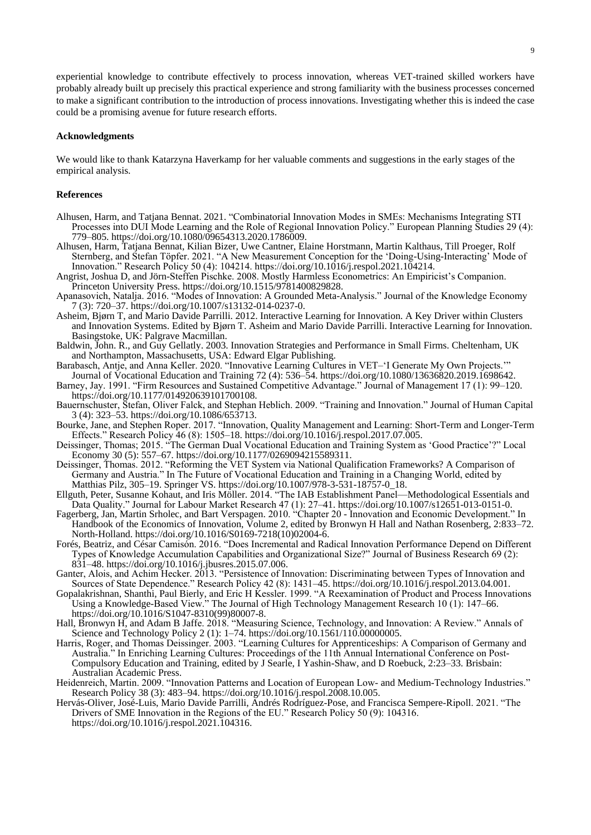experiential knowledge to contribute effectively to process innovation, whereas VET-trained skilled workers have probably already built up precisely this practical experience and strong familiarity with the business processes concerned to make a significant contribution to the introduction of process innovations. Investigating whether this is indeed the case could be a promising avenue for future research efforts.

#### **Acknowledgments**

We would like to thank Katarzyna Haverkamp for her valuable comments and suggestions in the early stages of the empirical analysis.

#### **References**

- Alhusen, Harm, and Tatjana Bennat. 2021. "Combinatorial Innovation Modes in SMEs: Mechanisms Integrating STI Processes into DUI Mode Learning and the Role of Regional Innovation Policy." European Planning Studies 29 (4): 779–805. https://doi.org/10.1080/09654313.2020.1786009.
- Alhusen, Harm, Tatjana Bennat, Kilian Bizer, Uwe Cantner, Elaine Horstmann, Martin Kalthaus, Till Proeger, Rolf Sternberg, and Stefan Töpfer. 2021. "A New Measurement Conception for the 'Doing-Using-Interacting' Mode of Innovation." Research Policy 50 (4): 104214. https://doi.org/10.1016/j.respol.2021.104214.
- Angrist, Joshua D, and Jörn-Steffen Pischke. 2008. Mostly Harmless Econometrics: An Empiricist's Companion. Princeton University Press. https://doi.org/10.1515/9781400829828.
- Apanasovich, Natalja. 2016. "Modes of Innovation: A Grounded Meta-Analysis." Journal of the Knowledge Economy 7 (3): 720–37. https://doi.org/10.1007/s13132-014-0237-0.
- Asheim, Bjørn T, and Mario Davide Parrilli. 2012. Interactive Learning for Innovation. A Key Driver within Clusters and Innovation Systems. Edited by Bjørn T. Asheim and Mario Davide Parrilli. Interactive Learning for Innovation. Basingstoke, UK: Palgrave Macmillan.
- Baldwin, John. R., and Guy Gellatly. 2003. Innovation Strategies and Performance in Small Firms. Cheltenham, UK and Northampton, Massachusetts, USA: Edward Elgar Publishing.
- Barabasch, Antje, and Anna Keller. 2020. "Innovative Learning Cultures in VET–'I Generate My Own Projects.'" Journal of Vocational Education and Training 72 (4): 536–54. https://doi.org/10.1080/13636820.2019.1698642.
- Barney, Jay. 1991. "Firm Resources and Sustained Competitive Advantage." Journal of Management 17 (1): 99–120. https://doi.org/10.1177/014920639101700108.
- Bauernschuster, Stefan, Oliver Falck, and Stephan Heblich. 2009. "Training and Innovation." Journal of Human Capital 3 (4): 323–53. https://doi.org/10.1086/653713.
- Bourke, Jane, and Stephen Roper. 2017. "Innovation, Quality Management and Learning: Short-Term and Longer-Term Effects." Research Policy 46 (8): 1505–18. https://doi.org/10.1016/j.respol.2017.07.005.
- Deissinger, Thomas; 2015. "The German Dual Vocational Education and Training System as 'Good Practice'?" Local Economy 30 (5): 557–67. https://doi.org/10.1177/0269094215589311.
- Deissinger, Thomas. 2012. "Reforming the VET System via National Qualification Frameworks? A Comparison of Germany and Austria." In The Future of Vocational Education and Training in a Changing World, edited by Matthias Pilz, 305–19. Springer VS. https://doi.org/10.1007/978-3-531-18757-0\_18.
- Ellguth, Peter, Susanne Kohaut, and Iris Möller. 2014. "The IAB Establishment Panel—Methodological Essentials and Data Quality." Journal for Labour Market Research 47 (1): 27–41. https://doi.org/10.1007/s12651-013-0151-0.
- Fagerberg, Jan, Martin Srholec, and Bart Verspagen. 2010. "Chapter 20 Innovation and Economic Development." In Handbook of the Economics of Innovation, Volume 2, edited by Bronwyn H Hall and Nathan Rosenberg, 2:833–72. North-Holland. https://doi.org/10.1016/S0169-7218(10)02004-6.
- Forés, Beatriz, and César Camisón. 2016. "Does Incremental and Radical Innovation Performance Depend on Different Types of Knowledge Accumulation Capabilities and Organizational Size?" Journal of Business Research 69 (2): 831–48. https://doi.org/10.1016/j.jbusres.2015.07.006.
- Ganter, Alois, and Achim Hecker. 2013. "Persistence of Innovation: Discriminating between Types of Innovation and Sources of State Dependence." Research Policy 42 (8): 1431–45. https://doi.org/10.1016/j.respol.2013.04.001.
- Gopalakrishnan, Shanthi, Paul Bierly, and Eric H Kessler. 1999. "A Reexamination of Product and Process Innovations Using a Knowledge-Based View." The Journal of High Technology Management Research 10 (1): 147–66. https://doi.org/10.1016/S1047-8310(99)80007-8.
- Hall, Bronwyn H, and Adam B Jaffe. 2018. "Measuring Science, Technology, and Innovation: A Review." Annals of Science and Technology Policy 2 (1): 1–74. https://doi.org/10.1561/110.00000005.
- Harris, Roger, and Thomas Deissinger. 2003. "Learning Cultures for Apprenticeships: A Comparison of Germany and Australia." In Enriching Learning Cultures: Proceedings of the 11th Annual International Conference on Post-Compulsory Education and Training, edited by J Searle, I Yashin-Shaw, and D Roebuck, 2:23–33. Brisbain: Australian Academic Press.
- Heidenreich, Martin. 2009. "Innovation Patterns and Location of European Low- and Medium-Technology Industries." Research Policy 38 (3): 483–94. https://doi.org/10.1016/j.respol.2008.10.005.
- Hervás-Oliver, José-Luis, Mario Davide Parrilli, Andrés Rodríguez-Pose, and Francisca Sempere-Ripoll. 2021. "The Drivers of SME Innovation in the Regions of the EU." Research Policy 50 (9): 104316. https://doi.org/10.1016/j.respol.2021.104316.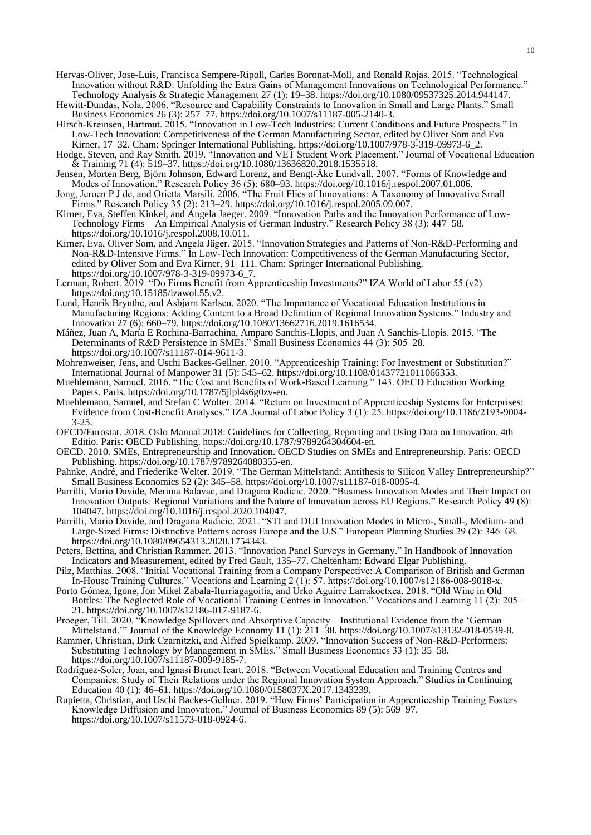- Hervas-Oliver, Jose-Luis, Francisca Sempere-Ripoll, Carles Boronat-Moll, and Ronald Rojas. 2015. "Technological Innovation without R&D: Unfolding the Extra Gains of Management Innovations on Technological Performance." Technology Analysis & Strategic Management 27 (1): 19–38. https://doi.org/10.1080/09537325.2014.944147.
- Hewitt-Dundas, Nola. 2006. "Resource and Capability Constraints to Innovation in Small and Large Plants." Small Business Economics 26 (3): 257–77. https://doi.org/10.1007/s11187-005-2140-3.
- Hirsch-Kreinsen, Hartmut. 2015. "Innovation in Low-Tech Industries: Current Conditions and Future Prospects." In Low-Tech Innovation: Competitiveness of the German Manufacturing Sector, edited by Oliver Som and Eva Kirner, 17–32. Cham: Springer International Publishing. https://doi.org/10.1007/978-3-319-09973-6\_2.
- Hodge, Steven, and Ray Smith. 2019. "Innovation and VET Student Work Placement." Journal of Vocational Education & Training 71 (4): 519–37. https://doi.org/10.1080/13636820.2018.1535518.
- Jensen, Morten Berg, Björn Johnson, Edward Lorenz, and Bengt-Åke Lundvall. 2007. "Forms of Knowledge and Modes of Innovation." Research Policy 36 (5): 680–93. https://doi.org/10.1016/j.respol.2007.01.006.
- Jong, Jeroen P J de, and Orietta Marsili. 2006. "The Fruit Flies of Innovations: A Taxonomy of Innovative Small Firms." Research Policy 35 (2): 213–29. https://doi.org/10.1016/j.respol.2005.09.007.
- Kirner, Eva, Steffen Kinkel, and Angela Jaeger. 2009. "Innovation Paths and the Innovation Performance of Low-Technology Firms—An Empirical Analysis of German Industry." Research Policy 38 (3): 447–58. https://doi.org/10.1016/j.respol.2008.10.011.
- Kirner, Eva, Oliver Som, and Angela Jäger. 2015. "Innovation Strategies and Patterns of Non-R&D-Performing and Non-R&D-Intensive Firms." In Low-Tech Innovation: Competitiveness of the German Manufacturing Sector, edited by Oliver Som and Eva Kirner, 91–111. Cham: Springer International Publishing. https://doi.org/10.1007/978-3-319-09973-6\_7.
- Lerman, Robert. 2019. "Do Firms Benefit from Apprenticeship Investments?" IZA World of Labor 55 (v2). https://doi.org/10.15185/izawol.55.v2.
- Lund, Henrik Brynthe, and Asbjørn Karlsen. 2020. "The Importance of Vocational Education Institutions in Manufacturing Regions: Adding Content to a Broad Definition of Regional Innovation Systems." Industry and Innovation 27 (6): 660–79. https://doi.org/10.1080/13662716.2019.1616534.
- Máñez, Juan A, María E Rochina-Barrachina, Amparo Sanchis-Llopis, and Juan A Sanchis-Llopis. 2015. "The Determinants of R&D Persistence in SMEs." Small Business Economics 44 (3): 505–28. https://doi.org/10.1007/s11187-014-9611-3.
- Mohrenweiser, Jens, and Uschi Backes-Gellner. 2010. "Apprenticeship Training: For Investment or Substitution?" International Journal of Manpower 31 (5): 545–62. https://doi.org/10.1108/01437721011066353.
- Muehlemann, Samuel. 2016. "The Cost and Benefits of Work-Based Learning." 143. OECD Education Working Papers. Paris. https://doi.org/10.1787/5jlpl4s6g0zv-en.
- Muehlemann, Samuel, and Stefan C Wolter. 2014. "Return on Investment of Apprenticeship Systems for Enterprises: Evidence from Cost-Benefit Analyses." IZA Journal of Labor Policy 3 (1): 25. https://doi.org/10.1186/2193-9004- 3-25.
- OECD/Eurostat. 2018. Oslo Manual 2018: Guidelines for Collecting, Reporting and Using Data on Innovation. 4th Editio. Paris: OECD Publishing. https://doi.org/10.1787/9789264304604-en.
- OECD. 2010. SMEs, Entrepreneurship and Innovation. OECD Studies on SMEs and Entrepreneurship. Paris: OECD Publishing. https://doi.org/10.1787/9789264080355-en.
- Pahnke, André, and Friederike Welter. 2019. "The German Mittelstand: Antithesis to Silicon Valley Entrepreneurship?" Small Business Economics 52 (2): 345–58. https://doi.org/10.1007/s11187-018-0095-4.
- Parrilli, Mario Davide, Merima Balavac, and Dragana Radicic. 2020. "Business Innovation Modes and Their Impact on Innovation Outputs: Regional Variations and the Nature of Innovation across EU Regions." Research Policy 49 (8): 104047. https://doi.org/10.1016/j.respol.2020.104047.
- Parrilli, Mario Davide, and Dragana Radicic. 2021. "STI and DUI Innovation Modes in Micro-, Small-, Medium- and Large-Sized Firms: Distinctive Patterns across Europe and the U.S." European Planning Studies 29 (2): 346–68. https://doi.org/10.1080/09654313.2020.1754343.
- Peters, Bettina, and Christian Rammer. 2013. "Innovation Panel Surveys in Germany." In Handbook of Innovation Indicators and Measurement, edited by Fred Gault, 135–77. Cheltenham: Edward Elgar Publishing.
- Pilz, Matthias. 2008. "Initial Vocational Training from a Company Perspective: A Comparison of British and German In-House Training Cultures." Vocations and Learning 2 (1): 57. https://doi.org/10.1007/s12186-008-9018-x.
- Porto Gómez, Igone, Jon Mikel Zabala-Iturriagagoitia, and Urko Aguirre Larrakoetxea. 2018. "Old Wine in Old Bottles: The Neglected Role of Vocational Training Centres in Innovation." Vocations and Learning 11 (2): 205– 21. https://doi.org/10.1007/s12186-017-9187-6.
- Proeger, Till. 2020. "Knowledge Spillovers and Absorptive Capacity—Institutional Evidence from the 'German Mittelstand.'" Journal of the Knowledge Economy 11 (1): 211–38. https://doi.org/10.1007/s13132-018-0539-8.
- Rammer, Christian, Dirk Czarnitzki, and Alfred Spielkamp. 2009. "Innovation Success of Non-R&D-Performers: Substituting Technology by Management in SMEs." Small Business Economics 33 (1): 35–58. https://doi.org/10.1007/s11187-009-9185-7.
- Rodríguez-Soler, Joan, and Ignasi Brunet Icart. 2018. "Between Vocational Education and Training Centres and Companies: Study of Their Relations under the Regional Innovation System Approach." Studies in Continuing Education 40 (1): 46–61. https://doi.org/10.1080/0158037X.2017.1343239.
- Rupietta, Christian, and Uschi Backes-Gellner. 2019. "How Firms' Participation in Apprenticeship Training Fosters Knowledge Diffusion and Innovation." Journal of Business Economics 89 (5): 569–97. https://doi.org/10.1007/s11573-018-0924-6.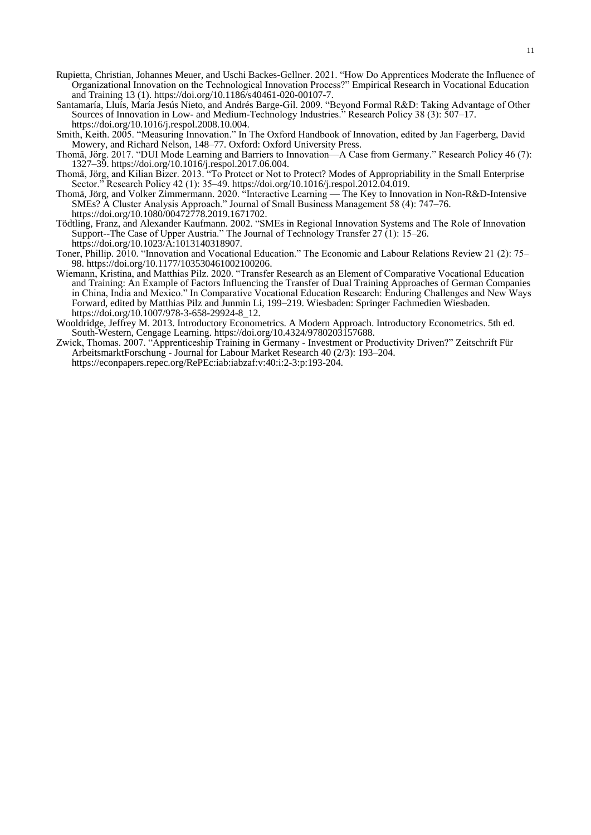- Rupietta, Christian, Johannes Meuer, and Uschi Backes-Gellner. 2021. "How Do Apprentices Moderate the Influence of Organizational Innovation on the Technological Innovation Process?" Empirical Research in Vocational Education and Training 13 (1). https://doi.org/10.1186/s40461-020-00107-7.
- Santamaría, Lluís, María Jesús Nieto, and Andrés Barge-Gil. 2009. "Beyond Formal R&D: Taking Advantage of Other Sources of Innovation in Low- and Medium-Technology Industries." Research Policy 38 (3): 507–17. https://doi.org/10.1016/j.respol.2008.10.004.
- Smith, Keith. 2005. "Measuring Innovation." In The Oxford Handbook of Innovation, edited by Jan Fagerberg, David Mowery, and Richard Nelson, 148–77. Oxford: Oxford University Press.
- Thomä, Jörg. 2017. "DUI Mode Learning and Barriers to Innovation—A Case from Germany." Research Policy 46 (7): 1327–39. https://doi.org/10.1016/j.respol.2017.06.004.
- Thomä, Jörg, and Kilian Bizer. 2013. "To Protect or Not to Protect? Modes of Appropriability in the Small Enterprise Sector." Research Policy 42 (1): 35–49. https://doi.org/10.1016/j.respol.2012.04.019.
- Thomä, Jörg, and Volker Zimmermann. 2020. "Interactive Learning The Key to Innovation in Non-R&D-Intensive SMEs? A Cluster Analysis Approach." Journal of Small Business Management 58 (4): 747–76. https://doi.org/10.1080/00472778.2019.1671702.
- Tödtling, Franz, and Alexander Kaufmann. 2002. "SMEs in Regional Innovation Systems and The Role of Innovation Support--The Case of Upper Austria." The Journal of Technology Transfer 27 (1): 15–26. https://doi.org/10.1023/A:1013140318907.
- Toner, Phillip. 2010. "Innovation and Vocational Education." The Economic and Labour Relations Review 21 (2): 75– 98. https://doi.org/10.1177/103530461002100206.
- Wiemann, Kristina, and Matthias Pilz. 2020. "Transfer Research as an Element of Comparative Vocational Education and Training: An Example of Factors Influencing the Transfer of Dual Training Approaches of German Companies in China, India and Mexico." In Comparative Vocational Education Research: Enduring Challenges and New Ways Forward, edited by Matthias Pilz and Junmin Li, 199–219. Wiesbaden: Springer Fachmedien Wiesbaden. https://doi.org/10.1007/978-3-658-29924-8\_12.
- Wooldridge, Jeffrey M. 2013. Introductory Econometrics. A Modern Approach. Introductory Econometrics. 5th ed. South-Western, Cengage Learning. https://doi.org/10.4324/9780203157688.
- Zwick, Thomas. 2007. "Apprenticeship Training in Germany Investment or Productivity Driven?" Zeitschrift Für ArbeitsmarktForschung - Journal for Labour Market Research 40 (2/3): 193–204. https://econpapers.repec.org/RePEc:iab:iabzaf:v:40:i:2-3:p:193-204.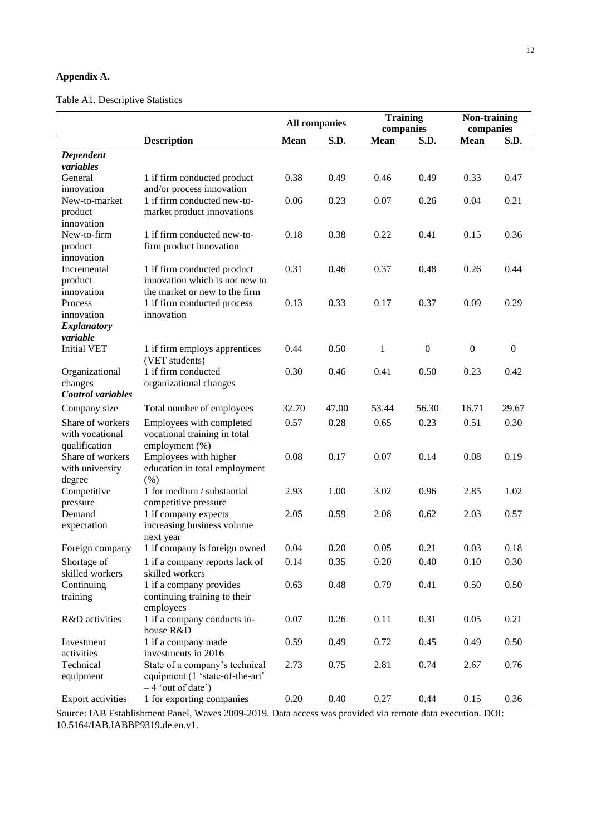## **Appendix A.**

# Table A1. Descriptive Statistics

|                          |                                                               |             | <b>All companies</b> | <b>Training</b><br>companies |                  | Non-training<br>companies |              |
|--------------------------|---------------------------------------------------------------|-------------|----------------------|------------------------------|------------------|---------------------------|--------------|
|                          | <b>Description</b>                                            | <b>Mean</b> | S.D.                 | <b>Mean</b>                  | S.D.             | <b>Mean</b>               | S.D.         |
| Dependent                |                                                               |             |                      |                              |                  |                           |              |
| variables                |                                                               |             |                      |                              |                  |                           |              |
| General                  | 1 if firm conducted product                                   | 0.38        | 0.49                 | 0.46                         | 0.49             | 0.33                      | 0.47         |
| innovation               | and/or process innovation                                     |             |                      |                              |                  |                           |              |
| New-to-market            | 1 if firm conducted new-to-                                   | 0.06        | 0.23                 | 0.07                         | 0.26             | 0.04                      | 0.21         |
| product                  | market product innovations                                    |             |                      |                              |                  |                           |              |
| innovation               |                                                               |             |                      |                              |                  |                           |              |
| New-to-firm              | 1 if firm conducted new-to-                                   | 0.18        | 0.38                 | 0.22                         | 0.41             | 0.15                      | 0.36         |
| product                  | firm product innovation                                       |             |                      |                              |                  |                           |              |
| innovation               |                                                               |             |                      |                              |                  |                           |              |
| Incremental              | 1 if firm conducted product<br>innovation which is not new to | 0.31        | 0.46                 | 0.37                         | 0.48             | 0.26                      | 0.44         |
| product<br>innovation    | the market or new to the firm                                 |             |                      |                              |                  |                           |              |
| Process                  | 1 if firm conducted process                                   | 0.13        | 0.33                 | 0.17                         | 0.37             | 0.09                      | 0.29         |
| innovation               | innovation                                                    |             |                      |                              |                  |                           |              |
| <b>Explanatory</b>       |                                                               |             |                      |                              |                  |                           |              |
| variable                 |                                                               |             |                      |                              |                  |                           |              |
| <b>Initial VET</b>       | 1 if firm employs apprentices                                 | 0.44        | 0.50                 | $\mathbf{1}$                 | $\boldsymbol{0}$ | $\boldsymbol{0}$          | $\mathbf{0}$ |
|                          | (VET students)                                                |             |                      |                              |                  |                           |              |
| Organizational           | 1 if firm conducted                                           | 0.30        | 0.46                 | 0.41                         | 0.50             | 0.23                      | 0.42         |
| changes                  | organizational changes                                        |             |                      |                              |                  |                           |              |
| <b>Control</b> variables |                                                               |             |                      |                              |                  |                           |              |
| Company size             | Total number of employees                                     | 32.70       | 47.00                | 53.44                        | 56.30            | 16.71                     | 29.67        |
| Share of workers         | Employees with completed                                      | 0.57        | 0.28                 | 0.65                         | 0.23             | 0.51                      | 0.30         |
| with vocational          | vocational training in total                                  |             |                      |                              |                  |                           |              |
| qualification            | employment (%)                                                |             |                      |                              |                  |                           |              |
| Share of workers         | Employees with higher                                         | 0.08        | 0.17                 | 0.07                         | 0.14             | 0.08                      | 0.19         |
| with university          | education in total employment                                 |             |                      |                              |                  |                           |              |
| degree                   | (% )                                                          |             |                      |                              |                  |                           |              |
| Competitive              | 1 for medium / substantial                                    | 2.93        | 1.00                 | 3.02                         | 0.96             | 2.85                      | 1.02         |
| pressure<br>Demand       | competitive pressure                                          | 2.05        | 0.59                 | 2.08                         | 0.62             | 2.03                      | 0.57         |
| expectation              | 1 if company expects<br>increasing business volume            |             |                      |                              |                  |                           |              |
|                          | next year                                                     |             |                      |                              |                  |                           |              |
| Foreign company          | 1 if company is foreign owned                                 | 0.04        | 0.20                 | 0.05                         | 0.21             | 0.03                      | 0.18         |
| Shortage of              | 1 if a company reports lack of                                | 0.14        | 0.35                 | 0.20                         | 0.40             | 0.10                      | 0.30         |
| skilled workers          | skilled workers                                               |             |                      |                              |                  |                           |              |
| Continuing               | 1 if a company provides                                       | 0.63        | 0.48                 | 0.79                         | 0.41             | 0.50                      | 0.50         |
| training                 | continuing training to their                                  |             |                      |                              |                  |                           |              |
|                          | employees                                                     |             |                      |                              |                  |                           |              |
| R&D activities           | 1 if a company conducts in-                                   | 0.07        | 0.26                 | 0.11                         | 0.31             | 0.05                      | 0.21         |
|                          | house R&D                                                     |             |                      |                              |                  |                           |              |
| Investment               | 1 if a company made                                           | 0.59        | 0.49                 | 0.72                         | 0.45             | 0.49                      | 0.50         |
| activities               | investments in 2016                                           |             |                      |                              |                  |                           |              |
| Technical                | State of a company's technical                                | 2.73        | 0.75                 | 2.81                         | 0.74             | 2.67                      | 0.76         |
| equipment                | equipment (1 'state-of-the-art'                               |             |                      |                              |                  |                           |              |
|                          | $-4$ 'out of date')                                           |             |                      |                              |                  |                           |              |
| Export activities        | 1 for exporting companies                                     | 0.20        | 0.40                 | 0.27                         | 0.44             | 0.15                      | 0.36         |

Source: IAB Establishment Panel, Waves 2009-2019. Data access was provided via remote data execution. DOI: 10.5164/IAB.IABBP9319.de.en.v1.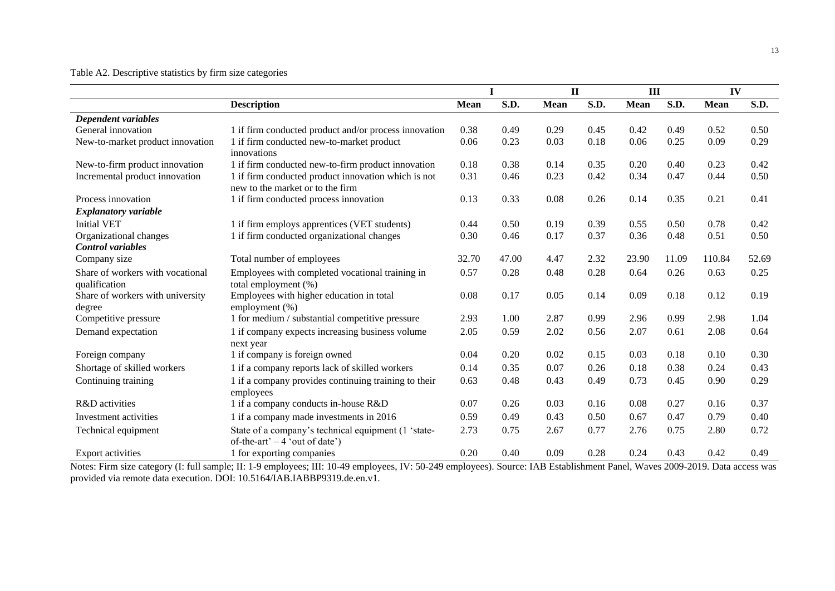## Table A2. Descriptive statistics by firm size categories

|                                                   |                                                                                         |             | I     | $\mathbf{I}$ |      | III         |       | IV          |       |
|---------------------------------------------------|-----------------------------------------------------------------------------------------|-------------|-------|--------------|------|-------------|-------|-------------|-------|
|                                                   | <b>Description</b>                                                                      | <b>Mean</b> | S.D.  | <b>Mean</b>  | S.D. | <b>Mean</b> | S.D.  | <b>Mean</b> | S.D.  |
| Dependent variables                               |                                                                                         |             |       |              |      |             |       |             |       |
| General innovation                                | 1 if firm conducted product and/or process innovation                                   | 0.38        | 0.49  | 0.29         | 0.45 | 0.42        | 0.49  | 0.52        | 0.50  |
| New-to-market product innovation                  | 1 if firm conducted new-to-market product<br>innovations                                | 0.06        | 0.23  | 0.03         | 0.18 | 0.06        | 0.25  | 0.09        | 0.29  |
| New-to-firm product innovation                    | 1 if firm conducted new-to-firm product innovation                                      | 0.18        | 0.38  | 0.14         | 0.35 | 0.20        | 0.40  | 0.23        | 0.42  |
| Incremental product innovation                    | 1 if firm conducted product innovation which is not<br>new to the market or to the firm | 0.31        | 0.46  | 0.23         | 0.42 | 0.34        | 0.47  | 0.44        | 0.50  |
| Process innovation                                | 1 if firm conducted process innovation                                                  | 0.13        | 0.33  | 0.08         | 0.26 | 0.14        | 0.35  | 0.21        | 0.41  |
| <b>Explanatory variable</b>                       |                                                                                         |             |       |              |      |             |       |             |       |
| <b>Initial VET</b>                                | 1 if firm employs apprentices (VET students)                                            | 0.44        | 0.50  | 0.19         | 0.39 | 0.55        | 0.50  | 0.78        | 0.42  |
| Organizational changes                            | 1 if firm conducted organizational changes                                              | 0.30        | 0.46  | 0.17         | 0.37 | 0.36        | 0.48  | 0.51        | 0.50  |
| <b>Control</b> variables                          |                                                                                         |             |       |              |      |             |       |             |       |
| Company size                                      | Total number of employees                                                               | 32.70       | 47.00 | 4.47         | 2.32 | 23.90       | 11.09 | 110.84      | 52.69 |
| Share of workers with vocational<br>qualification | Employees with completed vocational training in<br>total employment (%)                 | 0.57        | 0.28  | 0.48         | 0.28 | 0.64        | 0.26  | 0.63        | 0.25  |
| Share of workers with university<br>degree        | Employees with higher education in total<br>employment (%)                              | 0.08        | 0.17  | 0.05         | 0.14 | 0.09        | 0.18  | 0.12        | 0.19  |
| Competitive pressure                              | 1 for medium / substantial competitive pressure                                         | 2.93        | 1.00  | 2.87         | 0.99 | 2.96        | 0.99  | 2.98        | 1.04  |
| Demand expectation                                | 1 if company expects increasing business volume<br>next year                            | 2.05        | 0.59  | 2.02         | 0.56 | 2.07        | 0.61  | 2.08        | 0.64  |
| Foreign company                                   | 1 if company is foreign owned                                                           | 0.04        | 0.20  | 0.02         | 0.15 | 0.03        | 0.18  | 0.10        | 0.30  |
| Shortage of skilled workers                       | 1 if a company reports lack of skilled workers                                          | 0.14        | 0.35  | 0.07         | 0.26 | 0.18        | 0.38  | 0.24        | 0.43  |
| Continuing training                               | 1 if a company provides continuing training to their<br>employees                       | 0.63        | 0.48  | 0.43         | 0.49 | 0.73        | 0.45  | 0.90        | 0.29  |
| R&D activities                                    | 1 if a company conducts in-house R&D                                                    | 0.07        | 0.26  | 0.03         | 0.16 | 0.08        | 0.27  | 0.16        | 0.37  |
| Investment activities                             | 1 if a company made investments in 2016                                                 | 0.59        | 0.49  | 0.43         | 0.50 | 0.67        | 0.47  | 0.79        | 0.40  |
| Technical equipment                               | State of a company's technical equipment (1 'state-<br>of-the-art' $-4$ 'out of date')  | 2.73        | 0.75  | 2.67         | 0.77 | 2.76        | 0.75  | 2.80        | 0.72  |
| Export activities                                 | 1 for exporting companies                                                               | 0.20        | 0.40  | 0.09         | 0.28 | 0.24        | 0.43  | 0.42        | 0.49  |

Notes: Firm size category (I: full sample; II: 1-9 employees; III: 10-49 employees, IV: 50-249 employees). Source: IAB Establishment Panel, Waves 2009-2019. Data access was provided via remote data execution. DOI: 10.5164/IAB.IABBP9319.de.en.v1.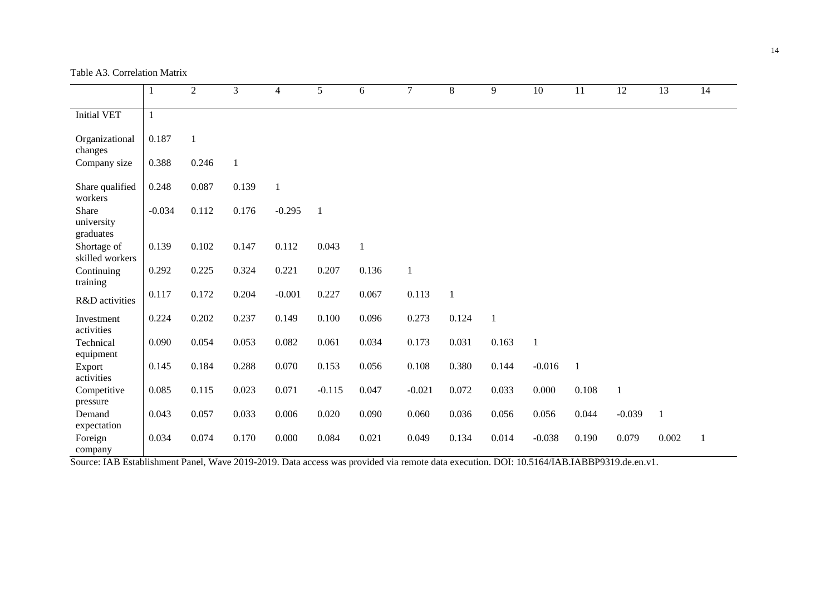Table A3. Correlation Matrix

|                        |              | $\overline{2}$ | 3            | 4        | 5              | 6            | $\overline{7}$ | 8            | 9            | 10           | 11           | 12       | 13    | 14           |
|------------------------|--------------|----------------|--------------|----------|----------------|--------------|----------------|--------------|--------------|--------------|--------------|----------|-------|--------------|
|                        |              |                |              |          |                |              |                |              |              |              |              |          |       |              |
| Initial VET            | $\mathbf{1}$ |                |              |          |                |              |                |              |              |              |              |          |       |              |
|                        |              |                |              |          |                |              |                |              |              |              |              |          |       |              |
| Organizational         | 0.187        | $\mathbf{1}$   |              |          |                |              |                |              |              |              |              |          |       |              |
| changes                |              |                |              |          |                |              |                |              |              |              |              |          |       |              |
| Company size           | 0.388        | 0.246          | $\mathbf{1}$ |          |                |              |                |              |              |              |              |          |       |              |
| Share qualified        | 0.248        | 0.087          | 0.139        | 1        |                |              |                |              |              |              |              |          |       |              |
| workers                |              |                |              |          |                |              |                |              |              |              |              |          |       |              |
| Share                  | $-0.034$     | 0.112          | 0.176        | $-0.295$ | $\overline{1}$ |              |                |              |              |              |              |          |       |              |
| university             |              |                |              |          |                |              |                |              |              |              |              |          |       |              |
| graduates              |              |                |              |          |                |              |                |              |              |              |              |          |       |              |
| Shortage of            | 0.139        | 0.102          | 0.147        | 0.112    | 0.043          | $\mathbf{1}$ |                |              |              |              |              |          |       |              |
| skilled workers        |              |                |              |          |                |              |                |              |              |              |              |          |       |              |
| Continuing             | 0.292        | 0.225          | 0.324        | 0.221    | 0.207          | 0.136        | $\mathbf{1}$   |              |              |              |              |          |       |              |
| training               | 0.117        | 0.172          | 0.204        | $-0.001$ | 0.227          | 0.067        | 0.113          | $\mathbf{1}$ |              |              |              |          |       |              |
| R&D activities         |              |                |              |          |                |              |                |              |              |              |              |          |       |              |
| Investment             | 0.224        | 0.202          | 0.237        | 0.149    | 0.100          | 0.096        | 0.273          | 0.124        | $\mathbf{1}$ |              |              |          |       |              |
| activities             |              |                |              |          |                |              |                |              |              |              |              |          |       |              |
| Technical              | 0.090        | 0.054          | 0.053        | 0.082    | 0.061          | 0.034        | 0.173          | 0.031        | 0.163        | $\mathbf{1}$ |              |          |       |              |
| equipment              |              |                |              |          |                |              |                |              |              |              |              |          |       |              |
| Export                 | 0.145        | 0.184          | 0.288        | 0.070    | 0.153          | 0.056        | 0.108          | 0.380        | 0.144        | $-0.016$     | $\mathbf{1}$ |          |       |              |
| activities             |              |                |              |          |                |              |                |              |              |              |              |          |       |              |
| Competitive            | 0.085        | 0.115          | 0.023        | 0.071    | $-0.115$       | 0.047        | $-0.021$       | 0.072        | 0.033        | 0.000        | 0.108        | $\,1\,$  |       |              |
| pressure               |              |                |              |          |                |              |                |              |              |              |              |          |       |              |
| Demand                 | 0.043        | 0.057          | 0.033        | 0.006    | 0.020          | 0.090        | 0.060          | 0.036        | 0.056        | 0.056        | 0.044        | $-0.039$ | 1     |              |
| expectation<br>Foreign | 0.034        | 0.074          | 0.170        | 0.000    | 0.084          | 0.021        | 0.049          | 0.134        | 0.014        | $-0.038$     | 0.190        | 0.079    | 0.002 | $\mathbf{1}$ |
| company                |              |                |              |          |                |              |                |              |              |              |              |          |       |              |

Source: IAB Establishment Panel, Wave 2019-2019. Data access was provided via remote data execution. DOI: 10.5164/IAB.IABBP9319.de.en.v1.